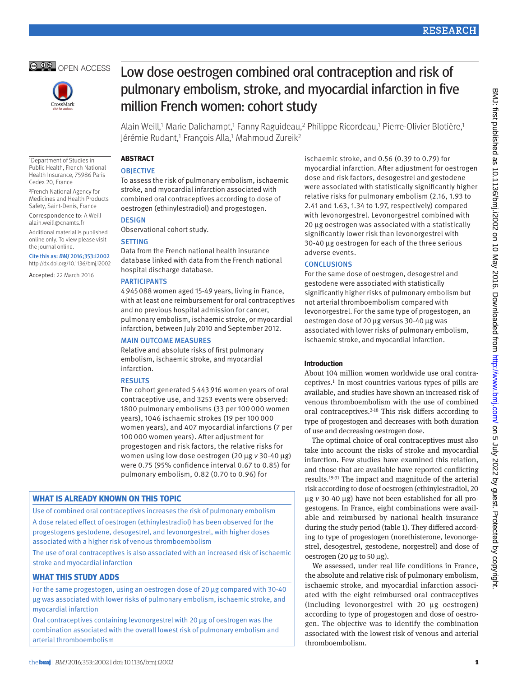



# Low dose oestrogen combined oral contraception and risk of pulmonary embolism, stroke, and myocardial infarction in five million French women: cohort study

Alain Weill,<sup>1</sup> Marie Dalichampt,<sup>1</sup> Fanny Raguideau,<sup>2</sup> Philippe Ricordeau,<sup>1</sup> Pierre-Olivier Blotière,<sup>1</sup> Jérémie Rudant,<sup>1</sup> François Alla,<sup>1</sup> Mahmoud Zureik<sup>2</sup>

#### 1Department of Studies in Public Health, French National Health Insurance, 75986 Paris Cedex 20, France

2French National Agency for Medicines and Health Products Safety, Saint-Denis, France

Correspondence to: A Weill alain.weill@cnamts.fr

Additional material is published online only. To view please visit the journal online.

Cite this as: *BMJ* 2016;353:i2002 http://dx.doi.org/10.1136/bmj.i2002

Accepted: 22 March 2016

# **ABSTRACT**

# **OBJECTIVE**

To assess the risk of pulmonary embolism, ischaemic stroke, and myocardial infarction associated with combined oral contraceptives according to dose of oestrogen (ethinylestradiol) and progestogen.

# **DESIGN**

Observational cohort study.

# **SETTING**

Data from the French national health insurance database linked with data from the French national hospital discharge database.

# **PARTICIPANTS**

4945088 women aged 15-49 years, living in France, with at least one reimbursement for oral contraceptives and no previous hospital admission for cancer, pulmonary embolism, ischaemic stroke, or myocardial infarction, between July 2010 and September 2012.

### **MAIN OUTCOME MEASURES**

Relative and absolute risks of first pulmonary embolism, ischaemic stroke, and myocardial infarction.

### **RESULTS**

The cohort generated 5 443 916 women years of oral contraceptive use, and 3253 events were observed: 1800 pulmonary embolisms (33 per 100 000 women years), 1046 ischaemic strokes (19 per 100 000 women years), and 407 myocardial infarctions (7 per 100 000 women years). After adjustment for progestogen and risk factors, the relative risks for women using low dose oestrogen (20 µg *v* 30-40 µg) were 0.75 (95% confidence interval 0.67 to 0.85) for pulmonary embolism, 0.82 (0.70 to 0.96) for

# **What is already known on this topic**

Use of combined oral contraceptives increases the risk of pulmonary embolism A dose related effect of oestrogen (ethinylestradiol) has been observed for the progestogens gestodene, desogestrel, and levonorgestrel, with higher doses associated with a higher risk of venous thromboembolism

The use of oral contraceptives is also associated with an increased risk of ischaemic stroke and myocardial infarction

# **What this study adds**

For the same progestogen, using an oestrogen dose of 20 µg compared with 30-40 µg was associated with lower risks of pulmonary embolism, ischaemic stroke, and myocardial infarction

Oral contraceptives containing levonorgestrel with 20 µg of oestrogen was the combination associated with the overall lowest risk of pulmonary embolism and arterial thromboembolism

ischaemic stroke, and 0.56 (0.39 to 0.79) for myocardial infarction. After adjustment for oestrogen dose and risk factors, desogestrel and gestodene were associated with statistically significantly higher relative risks for pulmonary embolism (2.16, 1.93 to 2.41 and 1.63, 1.34 to 1.97, respectively) compared with levonorgestrel. Levonorgestrel combined with 20 µg oestrogen was associated with a statistically significantly lower risk than levonorgestrel with 30-40 µg oestrogen for each of the three serious adverse events.

# **CONCLUSIONS**

For the same dose of oestrogen, desogestrel and gestodene were associated with statistically significantly higher risks of pulmonary embolism but not arterial thromboembolism compared with levonorgestrel. For the same type of progestogen, an oestrogen dose of 20 µg versus 30-40 µg was associated with lower risks of pulmonary embolism, ischaemic stroke, and myocardial infarction.

# **Introduction**

About 104 million women worldwide use oral contraceptives.1 In most countries various types of pills are available, and studies have shown an increased risk of venous thromboembolism with the use of combined oral contraceptives.<sup>2-18</sup> This risk differs according to type of progestogen and decreases with both duration of use and decreasing oestrogen dose.

The optimal choice of oral contraceptives must also take into account the risks of stroke and myocardial infarction. Few studies have examined this relation, and those that are available have reported conflicting results.19-31 The impact and magnitude of the arterial risk according to dose of oestrogen (ethinylestradiol, 20 µg *v* 30-40 µg) have not been established for all progestogens. In France, eight combinations were available and reimbursed by national health insurance during the study period (table 1). They differed according to type of progestogen (norethisterone, levonorgestrel, desogestrel, gestodene, norgestrel) and dose of oestrogen (20  $\mu$ g to 50  $\mu$ g).

We assessed, under real life conditions in France, the absolute and relative risk of pulmonary embolism, ischaemic stroke, and myocardial infarction associated with the eight reimbursed oral contraceptives (including levonorgestrel with 20 µg oestrogen) according to type of progestogen and dose of oestrogen. The objective was to identify the combination associated with the lowest risk of venous and arterial thromboembolism.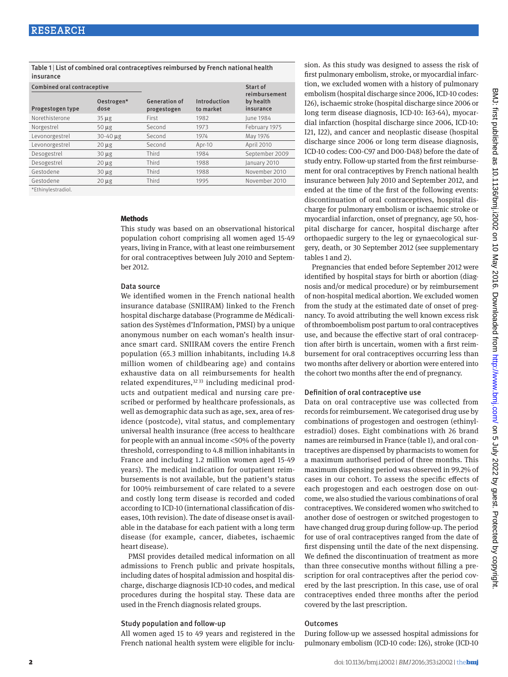#### Table 1 | List of combined oral contraceptives reimbursed by French national health insurance

| Combined oral contraceptive |                    |                                     |                           | Start of                                |
|-----------------------------|--------------------|-------------------------------------|---------------------------|-----------------------------------------|
| Progestogen type            | Oestrogen*<br>dose | <b>Generation of</b><br>progestogen | Introduction<br>to market | reimbursement<br>by health<br>insurance |
| Norethisterone              | $35 \mu$ g         | First                               | 1982                      | June 1984                               |
| Norgestrel                  | $50 \mu$ g         | Second                              | 1973                      | February 1975                           |
| Levonorgestrel              | $30 - 40$ ug       | Second                              | 1974                      | May 1976                                |
| Levonorgestrel              | $20 \mu g$         | Second                              | Apr-10                    | April 2010                              |
| Desogestrel                 | $30 \mu g$         | Third                               | 1984                      | September 2009                          |
| Desogestrel                 | $20 \mu$ g         | Third                               | 1988                      | January 2010                            |
| Gestodene                   | $30 \mu g$         | Third                               | 1988                      | November 2010                           |
| Gestodene                   | $20 \mu g$         | Third                               | 1995                      | November 2010                           |

\*Ethinylestradiol.

#### **Methods**

This study was based on an observational historical population cohort comprising all women aged 15-49 years, living in France, with at least one reimbursement for oral contraceptives between July 2010 and September 2012.

#### Data source

We identified women in the French national health insurance database (SNIIRAM) linked to the French hospital discharge database (Programme de Médicalisation des Systèmes d'Information, PMSI) by a unique anonymous number on each woman's health insurance smart card. SNIIRAM covers the entire French population (65.3 million inhabitants, including 14.8 million women of childbearing age) and contains exhaustive data on all reimbursements for health related expenditures,<sup>3233</sup> including medicinal products and outpatient medical and nursing care prescribed or performed by healthcare professionals, as well as demographic data such as age, sex, area of residence (postcode), vital status, and complementary universal health insurance (free access to healthcare for people with an annual income <50% of the poverty threshold, corresponding to 4.8 million inhabitants in France and including 1.2 million women aged 15-49 years). The medical indication for outpatient reimbursements is not available, but the patient's status for 100% reimbursement of care related to a severe and costly long term disease is recorded and coded according to ICD-10 (international classification of diseases, 10th revision). The date of disease onset is available in the database for each patient with a long term disease (for example, cancer, diabetes, ischaemic heart disease).

PMSI provides detailed medical information on all admissions to French public and private hospitals, including dates of hospital admission and hospital discharge, discharge diagnosis ICD-10 codes, and medical procedures during the hospital stay. These data are used in the French diagnosis related groups.

#### Study population and follow-up

All women aged 15 to 49 years and registered in the French national health system were eligible for inclusion. As this study was designed to assess the risk of first pulmonary embolism, stroke, or myocardial infarction, we excluded women with a history of pulmonary embolism (hospital discharge since 2006, ICD-10 codes: I26), ischaemic stroke (hospital discharge since 2006 or long term disease diagnosis, ICD-10: I63-64), myocardial infarction (hospital discharge since 2006, ICD-10: I21, I22), and cancer and neoplastic disease (hospital discharge since 2006 or long term disease diagnosis, ICD-10 codes: C00-C97 and D00-D48) before the date of study entry. Follow-up started from the first reimbursement for oral contraceptives by French national health insurance between July 2010 and September 2012, and ended at the time of the first of the following events: discontinuation of oral contraceptives, hospital discharge for pulmonary embolism or ischaemic stroke or myocardial infarction, onset of pregnancy, age 50, hospital discharge for cancer, hospital discharge after orthopaedic surgery to the leg or gynaecological surgery, death, or 30 September 2012 (see supplementary tables 1 and 2).

Pregnancies that ended before September 2012 were identified by hospital stays for birth or abortion (diagnosis and/or medical procedure) or by reimbursement of non-hospital medical abortion. We excluded women from the study at the estimated date of onset of pregnancy. To avoid attributing the well known excess risk of thromboembolism post partum to oral contraceptives use, and because the effective start of oral contraception after birth is uncertain, women with a first reimbursement for oral contraceptives occurring less than two months after delivery or abortion were entered into the cohort two months after the end of pregnancy.

#### Definition of oral contraceptive use

Data on oral contraceptive use was collected from records for reimbursement. We categorised drug use by combinations of progestogen and oestrogen (ethinylestradiol) doses. Eight combinations with 26 brand names are reimbursed in France (table 1), and oral contraceptives are dispensed by pharmacists to women for a maximum authorised period of three months. This maximum dispensing period was observed in 99.2% of cases in our cohort. To assess the specific effects of each progestogen and each oestrogen dose on outcome, we also studied the various combinations of oral contraceptives. We considered women who switched to another dose of oestrogen or switched progestogen to have changed drug group during follow-up. The period for use of oral contraceptives ranged from the date of first dispensing until the date of the next dispensing. We defined the discontinuation of treatment as more than three consecutive months without filling a prescription for oral contraceptives after the period covered by the last prescription. In this case, use of oral contraceptives ended three months after the period covered by the last prescription.

#### **Outcomes**

During follow-up we assessed hospital admissions for pulmonary embolism (ICD-10 code: I26), stroke (ICD-10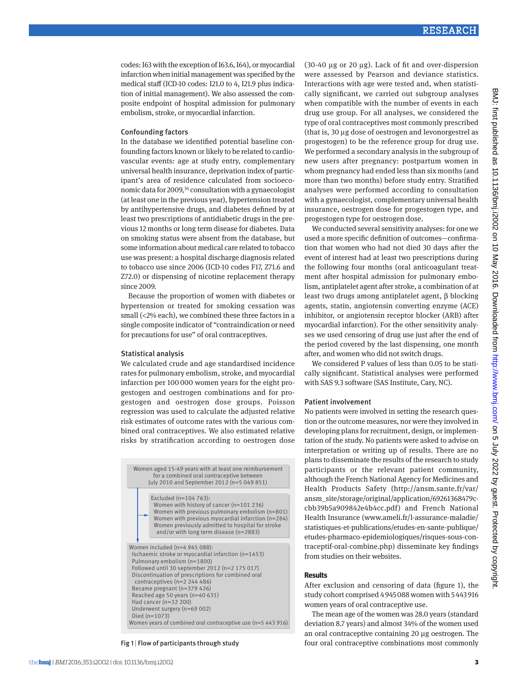codes: I63 with the exception of I63.6, I64), or myocardial infarction when initial management was specified by the medical staff (ICD-10 codes: I21.0 to 4, I21.9 plus indication of initial management). We also assessed the composite endpoint of hospital admission for pulmonary embolism, stroke, or myocardial infarction.

#### Confounding factors

In the database we identified potential baseline confounding factors known or likely to be related to cardiovascular events: age at study entry, complementary universal health insurance, deprivation index of participant's area of residence calculated from socioeconomic data for 2009,34 consultation with a gynaecologist (at least one in the previous year), hypertension treated by antihypertensive drugs, and diabetes defined by at least two prescriptions of antidiabetic drugs in the previous 12 months or long term disease for diabetes. Data on smoking status were absent from the database, but some information about medical care related to tobacco use was present: a hospital discharge diagnosis related to tobacco use since 2006 (ICD-10 codes F17, Z71.6 and Z72.0) or dispensing of nicotine replacement therapy since 2009.

Because the proportion of women with diabetes or hypertension or treated for smoking cessation was small (<2% each), we combined these three factors in a single composite indicator of "contraindication or need for precautions for use" of oral contraceptives.

#### Statistical analysis

We calculated crude and age standardised incidence rates for pulmonary embolism, stroke, and myocardial infarction per 100 000 women years for the eight progestogen and oestrogen combinations and for progestogen and oestrogen dose groups. Poisson regression was used to calculate the adjusted relative risk estimates of outcome rates with the various combined oral contraceptives. We also estimated relative risks by stratification according to oestrogen dose



Fig 1 | Flow of participants through study

(30-40 µg or 20 µg). Lack of fit and over-dispersion were assessed by Pearson and deviance statistics. Interactions with age were tested and, when statistically significant, we carried out subgroup analyses when compatible with the number of events in each drug use group. For all analyses, we considered the type of oral contraceptives most commonly prescribed (that is, 30 µg dose of oestrogen and levonorgestrel as progestogen) to be the reference group for drug use. We performed a secondary analysis in the subgroup of new users after pregnancy: postpartum women in whom pregnancy had ended less than six months (and more than two months) before study entry. Stratified analyses were performed according to consultation with a gynaecologist, complementary universal health insurance, oestrogen dose for progestogen type, and progestogen type for oestrogen dose.

We conducted several sensitivity analyses: for one we used a more specific definition of outcomes—confirmation that women who had not died 30 days after the event of interest had at least two prescriptions during the following four months (oral anticoagulant treatment after hospital admission for pulmonary embolism, antiplatelet agent after stroke, a combination of at least two drugs among antiplatelet agent, β blocking agents, statin, angiotensin converting enzyme (ACE) inhibitor, or angiotensin receptor blocker (ARB) after myocardial infarction). For the other sensitivity analyses we used censoring of drug use just after the end of the period covered by the last dispensing, one month after, and women who did not switch drugs.

We considered P values of less than 0.05 to be statically significant. Statistical analyses were performed with SAS 9.3 software (SAS Institute, Cary, NC).

#### Patient involvement

No patients were involved in setting the research question or the outcome measures, nor were they involved in developing plans for recruitment, design, or implementation of the study. No patients were asked to advise on interpretation or writing up of results. There are no plans to disseminate the results of the research to study participants or the relevant patient community, although the French National Agency for Medicines and Health Products Safety (http://ansm.sante.fr/var/ ansm\_site/storage/original/application/69261368479ccbb39b5a909842e4b4cc.pdf) and French National Health Insurance (www.ameli.fr/l-assurance-maladie/ statistiques-et-publications/etudes-en-sante-publique/ etudes-pharmaco-epidemiologiques/risques-sous-contraceptif-oral-combine.php) disseminate key findings from studies on their websites.

#### **Results**

After exclusion and censoring of data (figure 1), the study cohort comprised 4945088 women with 5443916 women years of oral contraceptive use.

The mean age of the women was 28.0 years (standard deviation 8.7 years) and almost 34% of the women used an oral contraceptive containing 20 µg oestrogen. The four oral contraceptive combinations most commonly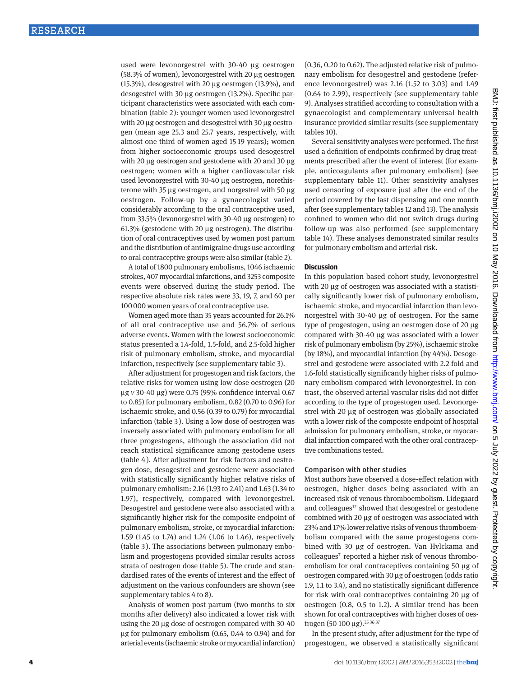used were levonorgestrel with 30-40 µg oestrogen (58.3% of women), levonorgestrel with 20 µg oestrogen (15.3%), desogestrel with 20 µg oestrogen (13.9%), and desogestrel with 30 µg oestrogen (13.2%). Specific participant characteristics were associated with each combination (table 2): younger women used levonorgestrel with 20 µg oestrogen and desogestrel with 30 µg oestrogen (mean age 25.3 and 25.7 years, respectively, with almost one third of women aged 15-19 years); women from higher socioeconomic groups used desogestrel with 20 µg oestrogen and gestodene with 20 and 30 µg oestrogen; women with a higher cardiovascular risk used levonorgestrel with 30-40 µg oestrogen, norethisterone with 35 µg oestrogen, and norgestrel with 50 µg oestrogen. Follow-up by a gynaecologist varied considerably according to the oral contraceptive used, from 33.5% (levonorgestrel with 30-40 µg oestrogen) to 61.3% (gestodene with 20 µg oestrogen). The distribution of oral contraceptives used by women post partum and the distribution of antimigraine drugs use according to oral contraceptive groups were also similar (table 2).

A total of 1800 pulmonary embolisms, 1046 ischaemic strokes, 407 myocardial infarctions, and 3253 composite events were observed during the study period. The respective absolute risk rates were 33, 19, 7, and 60 per 100000 women years of oral contraceptive use.

Women aged more than 35 years accounted for 26.1% of all oral contraceptive use and 56.7% of serious adverse events. Women with the lowest socioeconomic status presented a 1.4-fold, 1.5-fold, and 2.5-fold higher risk of pulmonary embolism, stroke, and myocardial infarction, respectively (see supplementary table 3).

After adjustment for progestogen and risk factors, the relative risks for women using low dose oestrogen (20 µg *v* 30-40 µg) were 0.75 (95% confidence interval 0.67 to 0.85) for pulmonary embolism, 0.82 (0.70 to 0.96) for ischaemic stroke, and 0.56 (0.39 to 0.79) for myocardial infarction (table 3). Using a low dose of oestrogen was inversely associated with pulmonary embolism for all three progestogens, although the association did not reach statistical significance among gestodene users (table 4). After adjustment for risk factors and oestrogen dose, desogestrel and gestodene were associated with statistically significantly higher relative risks of pulmonary embolism: 2.16 (1.93 to 2.41) and 1.63 (1.34 to 1.97), respectively, compared with levonorgestrel. Desogestrel and gestodene were also associated with a significantly higher risk for the composite endpoint of pulmonary embolism, stroke, or myocardial infarction: 1.59 (1.45 to 1.74) and 1.24 (1.06 to 1.46), respectively (table 3 ). The associations between pulmonary embolism and progestogens provided similar results across strata of oestrogen dose (table 5). The crude and standardised rates of the events of interest and the effect of adjustment on the various confounders are shown (see supplementary tables 4 to 8).

Analysis of women post partum (two months to six months after delivery) also indicated a lower risk with using the 20 µg dose of oestrogen compared with 30-40 µg for pulmonary embolism (0.65, 0.44 to 0.94) and for arterial events (ischaemic stroke or myocardial infarction) (0.36, 0.20 to 0.62). The adjusted relative risk of pulmonary embolism for desogestrel and gestodene (reference levonorgestrel) was 2.16 (1.52 to 3.03) and 1.49 (0.64 to 2.99), respectively (see supplementary table 9). Analyses stratified according to consultation with a gynaecologist and complementary universal health insurance provided similar results (see supplementary tables 10).

Several sensitivity analyses were performed. The first used a definition of endpoints confirmed by drug treatments prescribed after the event of interest (for example, anticoagulants after pulmonary embolism) (see supplementary table 11). Other sensitivity analyses used censoring of exposure just after the end of the period covered by the last dispensing and one month after (see supplementary tables 12 and 13). The analysis confined to women who did not switch drugs during follow-up was also performed (see supplementary table 14). These analyses demonstrated similar results for pulmonary embolism and arterial risk.

#### **Discussion**

In this population based cohort study, levonorgestrel with 20 µg of oestrogen was associated with a statistically significantly lower risk of pulmonary embolism, ischaemic stroke, and myocardial infarction than levonorgestrel with 30-40 µg of oestrogen. For the same type of progestogen, using an oestrogen dose of 20 µg compared with 30-40 µg was associated with a lower risk of pulmonary embolism (by 25%), ischaemic stroke (by 18%), and myocardial infarction (by 44%). Desogestrel and gestodene were associated with 2.2-fold and 1.6-fold statistically significantly higher risks of pulmonary embolism compared with levonorgestrel. In contrast, the observed arterial vascular risks did not differ according to the type of progestogen used. Levonorgestrel with 20 µg of oestrogen was globally associated with a lower risk of the composite endpoint of hospital admission for pulmonary embolism, stroke, or myocardial infarction compared with the other oral contraceptive combinations tested.

### Comparison with other studies

Most authors have observed a dose-effect relation with oestrogen, higher doses being associated with an increased risk of venous thromboembolism. Lidegaard and colleagues<sup>12</sup> showed that desogestrel or gestodene combined with 20 µg of oestrogen was associated with 23% and 17% lower relative risks of venous thromboembolism compared with the same progestogens combined with 30 µg of oestrogen. Van Hylckama and colleagues<sup>7</sup> reported a higher risk of venous thromboembolism for oral contraceptives containing 50 µg of oestrogen compared with 30 µg of oestrogen (odds ratio 1.9, 1.1 to 3.4), and no statistically significant difference for risk with oral contraceptives containing 20 µg of oestrogen (0.8, 0.5 to 1.2). A similar trend has been shown for oral contraceptives with higher doses of oestrogen (50-100 µg).35 <sup>36</sup> <sup>37</sup>

In the present study, after adjustment for the type of progestogen, we observed a statistically significant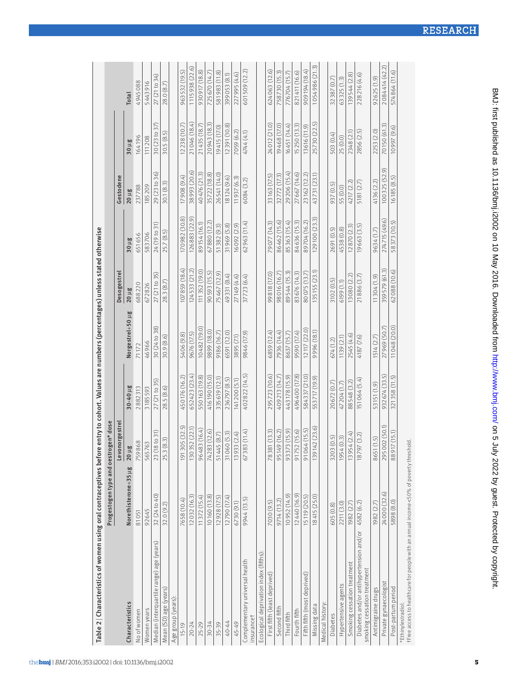| Table 2   Characteristics of women using oral contraceptives before entry to cohort. Values are numbers (percentages) unless stated otherwise |                              |                                     |               |                         |                |               |                |               |                |
|-----------------------------------------------------------------------------------------------------------------------------------------------|------------------------------|-------------------------------------|---------------|-------------------------|----------------|---------------|----------------|---------------|----------------|
|                                                                                                                                               | Progestogen type and oestrog | en* dose                            |               |                         |                |               |                |               |                |
|                                                                                                                                               |                              | Levonorgestrel                      |               |                         | Desogestrel    |               | Gestodene      |               |                |
| Characteristics                                                                                                                               | Norethisterone+35 µg         | 20 µg                               | 811 0 + - 0 5 | Norgestrel+50 µg        | $20 \mu g$     | 30 µg         | 20 µg          | 30 µg         | <b>Total</b>   |
| No of women                                                                                                                                   | 81051                        | 759868                              | 2882313       | 71172                   | 688220         | 651656        | 237788         | 164196        | 4945088        |
| Women years                                                                                                                                   | 92645                        | $\sim$<br>565763                    | 3185593       | 46966                   | 672826         | 583706        | 85209          | 111 208       | 5443916        |
| Median (interquartile range) age (years)                                                                                                      | 32 (24 to 40)                | $\frac{1}{2}$<br>23 (18             | 27 (21 to 35) | 30 <sub>(24to 38)</sub> | 27 (21 to 35)  | 24 (19 to 31) | 29 (23 to 36)  | 30 (23 to 37) | 27 (21 to 34)  |
| Mean (SD) age (years)                                                                                                                         | 32.0 (9.2)                   | û.<br>25.3 (8.                      | 28.5 (8.6)    | 30.9 (8.6)              | 28.3 (8.7)     | 25.7 (8.5)    | 30.1 (8.3)     | 30.5(8.5)     | 28.0 (8.7)     |
| Age group (years):                                                                                                                            |                              |                                     |               |                         |                |               |                |               |                |
| 15-19                                                                                                                                         | 7658 (10.4)                  | 5(32.5)<br>19130                    | 450176 (16.2) | 5406 (9.8)              | 107859 (18.4)  | 170982 (30.8) | 17908 (9.4)    | 12238 (10.7)  | 963532 (19.5)  |
| 20-24                                                                                                                                         | 12032 (16.3)                 | 130352 (22.1)                       | 652423 (23.4) | 9676 (17.5)             | 124533 (21.2)  | 126883 (22.9) | 38993 (20.6)   | 21046 (18.4)  | 1115938 (22.6) |
| 25-29                                                                                                                                         | 11372 (15.4)                 | (16.4)<br>96483                     | 550163 (19.8) | 10482 (19.0)            | 111 352 (19.0) | 89154 (16.1)  | 40476 (21.3)   | 21435 (18.7)  | 930 917 (18.8) |
| 30-34                                                                                                                                         | 10160 (13.8)                 | (12.6)<br>74283                     | 416190 (15.0) | 9899 (18.0)             | 90593 (15.5)   | 67880 (12.2)  | 35722 (18.8)   | 20943 (18.3)  | 725670 (14.7)  |
| 35-39                                                                                                                                         | 12928 (17.5)                 | $(8.7)$<br>51445                    | 335619 (12.1) | 9186 (16.7)             | 75467 (12.9)   | 51382 (9.3)   | 26541 (14.0)   | 19415 (17.0)  | 581983 (11.8)  |
| 40-44                                                                                                                                         | 12790 (17.4)                 | $(5.3)$<br>31060                    | 236797 (8.5)  | 6591 (12.0)             | 49331 (8.4)    | 31969 (5.8)   | 8124 (9.6)     | 12391 (10.8)  | 399053 (8.1)   |
| 45-49                                                                                                                                         | 6730 (9.1)                   | (2.4)<br>13933                      | 41 200 (5.1)  | 3895 (7.1)              | 27149 (4.6)    | 16092 (2.9)   | 11937 (6.3)    | 7059 (6.2)    | 227995 (4.6)   |
| Complementary universal health<br>insurancet                                                                                                  | 9944 (13.5)                  | (11.4)<br>67383                     | 402822 (14.5) | 9846 (17.9)             | 37723 (6.4)    | 62963 (11.4)  | 6084 (3.2)     | 4744 (4.1)    | 601509 (12.2)  |
| Ecological deprivation index (fifths)                                                                                                         |                              |                                     |               |                         |                |               |                |               |                |
| First fifth (least deprived)                                                                                                                  | 7030 (9.5)                   | (13.3)<br>78381                     | 295723 (10.6) | 6859 (12.4)             | 99818 (17.0)   | 79077 (14.3)  | 33163 (17.5)   | 24012 (21.0)  | 624063 (12.6)  |
| Second fifth                                                                                                                                  | 9714 (13.2)                  | (16.2)<br>95149                     | 409213 (14.7) | 7936 (14.4)             | 98016 (16.7)   | 86462 (15.6)  | 32772 (17.3)   | 19468 (17.0)  | 758730 (15.3)  |
| Third fifth                                                                                                                                   | 10952 (14.9)                 | (15.9)<br>93373                     | 443178 (15.9) | 8637 (15.7)             | 89544 (15.3)   | 85363 (15.4)  | 29206 (15.4)   | (451 (14.4)   | 776704 (15.7)  |
| Fourth fifth                                                                                                                                  | 12440 (16.9)                 | (15.6)<br>91752                     | 496400 (17.8) | 9590 (17.4)             | 83676 (14.3)   | 84636 (15.3)  | 27667 (14.6)   | 15250 (13.3)  | 821411 (16.6)  |
| Fifth fifth (most deprived)                                                                                                                   | 15119 (20.5)                 | (15.5)<br>91064                     | 584337 (21.0) | 12117 (22.0)            | 80075 (13.7)   | 89704 (16.2)  | 23162 (12.2)   | 13616 (11.9)  | 909194 (18.4)  |
| Missing data                                                                                                                                  | 18415 (25.0)                 | 139142 (23.6)                       | 553717 (19.9) | 9996 (18.1)             | 135155 (23.1)  | 129100 (23.3) | 43731 (23.1)   | 25730 (22.5)  | 1054986 (21.3) |
| Medical history:                                                                                                                              |                              |                                     |               |                         |                |               |                |               |                |
| Diabetes                                                                                                                                      | 605 (0.8)                    | (0.5)<br>3203                       | 20672 (0.7)   | 674 (1.2)               | 3102 (0.5)     | 2691 (0.5)    | 937 (0.5)      | 503 (0.4)     | 32387 (0.7)    |
| Hypertensive agents                                                                                                                           | 2211 (3.0)                   | (0.3)<br>1954 (                     | 47204 (1.7)   | 1139(2.1)               | 6199 (1.1)     | 4538 (0.8)    | 55 (0.0)       | 25 (0.0)      | 63325 (1.3)    |
| Smoking cessation treatment                                                                                                                   | 1982 (2.7)                   | (2.4)<br>13954                      | 88548 (3.2)   | 2545 (4.6)              | 13080 (2.2)    | 12870(2.3)    | 4217 (2.2)     | 2348 (2.1)    | 139544 (2.8)   |
| Diabetes and/or antihypertension and/or<br>smoking cessation treatment                                                                        | 4582 (6.2)                   | (3.2)<br>18797                      | 151064 (5.4)  | 4187 (7.6)              | 21886 (3.7)    | 19663 (3.5)   | 5181 (2.7)     | 2856 (2.5)    | 228216 (4.6)   |
| Antimigraine drugs                                                                                                                            | 1982 (2.7)                   | $\widehat{\mathfrak{g}}$<br>8651 (1 | 53151 (1.9)   | 1514(2.7)               | 11 304 (1.9)   | 9634 (1.7)    | 4136 (2.2)     | 2253 (2.0)    | 92625 (1.9)    |
| Private gynaecologist                                                                                                                         | 24000 (32.6)                 | 295 002 (50.1)                      | 932674 (33.5) | 27969 (50.7)            | 359579 (61.3)  | 274715 (49.6) | 100 325 (52.9) | 70150 (61.3)  | 2084414 (42.2) |
| Post-partum period                                                                                                                            | 5898 (8.0)                   | (15.1)<br>88917                     | 321358 (11.5) | 11048 (20.0)            | 62088 (10.6)   | 58373 (10.5)  | 16185 (8.5)    | 10997 (9.6)   | 574864 (11.6)  |
| tFree access to healthcare for people with an annual income <50% of poverty threshold.<br>*Ethinylestradiol.                                  |                              |                                     |               |                         |                |               |                |               |                |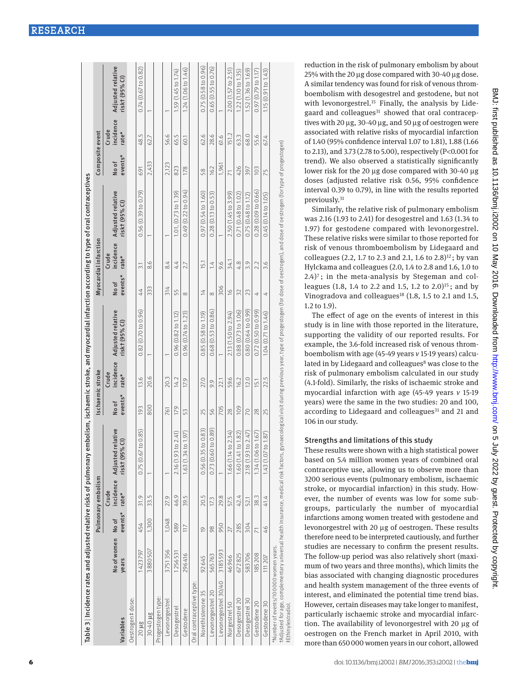| incidence<br>Crude<br>$rate*$<br>151.2<br>48.5<br>56.6<br>62.6<br>28.6<br>68.0<br>65.5<br>63.3<br>55.6<br>62.7<br>61.6<br>67.4<br>60.1<br>events*<br>No of<br>2,433<br>2,123<br>1,961<br>823<br>426<br>691<br>178<br>162<br>103<br>597<br>58<br>75<br>$\overline{\mathcal{N}}$<br>0.28(0.09 to 0.66)<br>Adjusted relative<br>0.49(0.22 to 0.94)<br>0.97(0.54 to 1.60)<br>0.56(0.39 to 0.79)<br>1.01, (0.73 to 1.39)<br>0.71(0.48 to 1.02)<br>0.28(0.13 to 0.53)<br>2.50 (1.45 to 3.99)<br>0.45(0.14 to 1.05)<br>0.75(0.48 to 1.12)<br>riskt (95% CI)<br>incidence<br>Crude<br>$rate*$<br>34.1<br>15.1<br>8.6<br>4.8<br>3.9<br>2.2<br>3.6<br>8.4<br>4.4<br>9.6<br>1.4<br>2.7<br>$\overline{31}$<br>events*<br>No of<br>306<br>333<br>314<br>44<br>$\frac{8}{1}$<br>32<br>23<br>55<br>$\overline{14}$<br>$\infty$<br>$\infty$<br>4<br>4<br>0.68(0.53 to 0.86)<br>0.80 (0.64 to 0.99)<br>Adjusted relative<br>$0.82$ (0.70 to 0.96)<br>0.72(0.50 to 0.99)<br>0.88(0.73 to 1.06)<br>1.04 (0.71 to 1.46)<br>0.96(0.74 to 1.23)<br>0.85(0.58 to 1.19)<br>0.96(0.82 to 1.12)<br>2.13 (1.50 to 2.94)<br>riskt (95% Cl)<br>incidence<br>Crude<br>$rate*$<br>20.6<br>22.5<br>13.6<br>20.3<br>59.6<br>14.2<br>16.2<br>12.0<br>27.0<br>17.9<br>22.1<br>15.1<br>9.9<br>events*<br>No of<br>800<br>109<br>705<br>193<br>179<br>761<br>53<br>25<br>56<br>28<br>20<br>28<br>25<br>incidence Adjusted relative<br>0.73(0.60 to 0.89)<br>0.56(0.35 to 0.83)<br>0.75(0.67 to 0.85)<br>2.34)<br>1.34 (1.06 to 1.67)<br>2.41)<br>(1.82)<br>2.47)<br>(55)<br>(1.87)<br>$\widehat{c}$<br>2.16 (1.93 to<br>1.63 (1.34 to<br>1.66 (1.14 to<br>1.60 (1.41 to<br>2.18 (1.93 to<br>1.43 (1.07 to<br>riskt (95%<br>Crude<br>$rate*$<br>46.9<br>33.5<br>42.4<br>38.3<br>20.5<br>31.9<br>39.5<br>29.8<br>41.4<br>27.9<br>57.5<br>17.3<br>52.1<br>events*<br>No of women No of<br>1.300<br>1,048<br>454<br>589<br>950<br>285<br>304<br>117<br>46<br>$\frac{8}{2}$<br>$\frac{1}{2}$<br>27<br>$\overline{\mathbf{r}}$<br>3880507<br>3751356<br>3185593<br>1423797<br>1256531<br>583706<br>296416<br>672825<br>185208<br>565763<br>111 207<br>46966<br>92645<br>years<br>Levonorgestrel 30/40<br>Oral contraceptive type:<br>Levonorgestrel 20<br>Norethisterone 35<br>Progestogen type:<br>Oestrogen#dose:<br>Desogestrel 20<br>Desogestrel 30<br><b>evonorgestrel</b><br>Gestodene 30<br>Gestodene 20<br>Norgestrel 50<br>Desogestrel<br>Gestodene<br>811 0 <sub>7</sub> -05<br>Variables<br>$20 \mu g$ |  | Pulmonary embolism |  | Ischaemic stroke |  | Myocardial infarction | Composite event |                                     |
|------------------------------------------------------------------------------------------------------------------------------------------------------------------------------------------------------------------------------------------------------------------------------------------------------------------------------------------------------------------------------------------------------------------------------------------------------------------------------------------------------------------------------------------------------------------------------------------------------------------------------------------------------------------------------------------------------------------------------------------------------------------------------------------------------------------------------------------------------------------------------------------------------------------------------------------------------------------------------------------------------------------------------------------------------------------------------------------------------------------------------------------------------------------------------------------------------------------------------------------------------------------------------------------------------------------------------------------------------------------------------------------------------------------------------------------------------------------------------------------------------------------------------------------------------------------------------------------------------------------------------------------------------------------------------------------------------------------------------------------------------------------------------------------------------------------------------------------------------------------------------------------------------------------------------------------------------------------------------------------------------------------------------------------------------------------------------------------------------------------------------------------------------------------------------------------------------------------------------------------------------------------------------------------------------------------------------------------------------------------------------------------------------------------------------------------------------------------------|--|--------------------|--|------------------|--|-----------------------|-----------------|-------------------------------------|
|                                                                                                                                                                                                                                                                                                                                                                                                                                                                                                                                                                                                                                                                                                                                                                                                                                                                                                                                                                                                                                                                                                                                                                                                                                                                                                                                                                                                                                                                                                                                                                                                                                                                                                                                                                                                                                                                                                                                                                                                                                                                                                                                                                                                                                                                                                                                                                                                                                                                        |  |                    |  |                  |  |                       |                 | Adjusted relative<br>riskt (95% Cl) |
|                                                                                                                                                                                                                                                                                                                                                                                                                                                                                                                                                                                                                                                                                                                                                                                                                                                                                                                                                                                                                                                                                                                                                                                                                                                                                                                                                                                                                                                                                                                                                                                                                                                                                                                                                                                                                                                                                                                                                                                                                                                                                                                                                                                                                                                                                                                                                                                                                                                                        |  |                    |  |                  |  |                       |                 |                                     |
|                                                                                                                                                                                                                                                                                                                                                                                                                                                                                                                                                                                                                                                                                                                                                                                                                                                                                                                                                                                                                                                                                                                                                                                                                                                                                                                                                                                                                                                                                                                                                                                                                                                                                                                                                                                                                                                                                                                                                                                                                                                                                                                                                                                                                                                                                                                                                                                                                                                                        |  |                    |  |                  |  |                       |                 | 0.74(0.67 to 0.82)                  |
|                                                                                                                                                                                                                                                                                                                                                                                                                                                                                                                                                                                                                                                                                                                                                                                                                                                                                                                                                                                                                                                                                                                                                                                                                                                                                                                                                                                                                                                                                                                                                                                                                                                                                                                                                                                                                                                                                                                                                                                                                                                                                                                                                                                                                                                                                                                                                                                                                                                                        |  |                    |  |                  |  |                       |                 |                                     |
|                                                                                                                                                                                                                                                                                                                                                                                                                                                                                                                                                                                                                                                                                                                                                                                                                                                                                                                                                                                                                                                                                                                                                                                                                                                                                                                                                                                                                                                                                                                                                                                                                                                                                                                                                                                                                                                                                                                                                                                                                                                                                                                                                                                                                                                                                                                                                                                                                                                                        |  |                    |  |                  |  |                       |                 |                                     |
|                                                                                                                                                                                                                                                                                                                                                                                                                                                                                                                                                                                                                                                                                                                                                                                                                                                                                                                                                                                                                                                                                                                                                                                                                                                                                                                                                                                                                                                                                                                                                                                                                                                                                                                                                                                                                                                                                                                                                                                                                                                                                                                                                                                                                                                                                                                                                                                                                                                                        |  |                    |  |                  |  |                       |                 |                                     |
|                                                                                                                                                                                                                                                                                                                                                                                                                                                                                                                                                                                                                                                                                                                                                                                                                                                                                                                                                                                                                                                                                                                                                                                                                                                                                                                                                                                                                                                                                                                                                                                                                                                                                                                                                                                                                                                                                                                                                                                                                                                                                                                                                                                                                                                                                                                                                                                                                                                                        |  |                    |  |                  |  |                       |                 | 1.59 (1.45 to 1.74)                 |
|                                                                                                                                                                                                                                                                                                                                                                                                                                                                                                                                                                                                                                                                                                                                                                                                                                                                                                                                                                                                                                                                                                                                                                                                                                                                                                                                                                                                                                                                                                                                                                                                                                                                                                                                                                                                                                                                                                                                                                                                                                                                                                                                                                                                                                                                                                                                                                                                                                                                        |  |                    |  |                  |  |                       |                 | 1.24 (1.06 to 1.46)                 |
|                                                                                                                                                                                                                                                                                                                                                                                                                                                                                                                                                                                                                                                                                                                                                                                                                                                                                                                                                                                                                                                                                                                                                                                                                                                                                                                                                                                                                                                                                                                                                                                                                                                                                                                                                                                                                                                                                                                                                                                                                                                                                                                                                                                                                                                                                                                                                                                                                                                                        |  |                    |  |                  |  |                       |                 |                                     |
|                                                                                                                                                                                                                                                                                                                                                                                                                                                                                                                                                                                                                                                                                                                                                                                                                                                                                                                                                                                                                                                                                                                                                                                                                                                                                                                                                                                                                                                                                                                                                                                                                                                                                                                                                                                                                                                                                                                                                                                                                                                                                                                                                                                                                                                                                                                                                                                                                                                                        |  |                    |  |                  |  |                       |                 | 0.75(0.58 to 0.96)                  |
|                                                                                                                                                                                                                                                                                                                                                                                                                                                                                                                                                                                                                                                                                                                                                                                                                                                                                                                                                                                                                                                                                                                                                                                                                                                                                                                                                                                                                                                                                                                                                                                                                                                                                                                                                                                                                                                                                                                                                                                                                                                                                                                                                                                                                                                                                                                                                                                                                                                                        |  |                    |  |                  |  |                       |                 | 0.65(0.55 to 0.76)                  |
|                                                                                                                                                                                                                                                                                                                                                                                                                                                                                                                                                                                                                                                                                                                                                                                                                                                                                                                                                                                                                                                                                                                                                                                                                                                                                                                                                                                                                                                                                                                                                                                                                                                                                                                                                                                                                                                                                                                                                                                                                                                                                                                                                                                                                                                                                                                                                                                                                                                                        |  |                    |  |                  |  |                       |                 |                                     |
|                                                                                                                                                                                                                                                                                                                                                                                                                                                                                                                                                                                                                                                                                                                                                                                                                                                                                                                                                                                                                                                                                                                                                                                                                                                                                                                                                                                                                                                                                                                                                                                                                                                                                                                                                                                                                                                                                                                                                                                                                                                                                                                                                                                                                                                                                                                                                                                                                                                                        |  |                    |  |                  |  |                       |                 | 2.00 (1.57 to 2.51)                 |
|                                                                                                                                                                                                                                                                                                                                                                                                                                                                                                                                                                                                                                                                                                                                                                                                                                                                                                                                                                                                                                                                                                                                                                                                                                                                                                                                                                                                                                                                                                                                                                                                                                                                                                                                                                                                                                                                                                                                                                                                                                                                                                                                                                                                                                                                                                                                                                                                                                                                        |  |                    |  |                  |  |                       |                 | 1.22(1.10 to 1.35)                  |
|                                                                                                                                                                                                                                                                                                                                                                                                                                                                                                                                                                                                                                                                                                                                                                                                                                                                                                                                                                                                                                                                                                                                                                                                                                                                                                                                                                                                                                                                                                                                                                                                                                                                                                                                                                                                                                                                                                                                                                                                                                                                                                                                                                                                                                                                                                                                                                                                                                                                        |  |                    |  |                  |  |                       |                 | 1.52 (1.36 to 1.69)                 |
|                                                                                                                                                                                                                                                                                                                                                                                                                                                                                                                                                                                                                                                                                                                                                                                                                                                                                                                                                                                                                                                                                                                                                                                                                                                                                                                                                                                                                                                                                                                                                                                                                                                                                                                                                                                                                                                                                                                                                                                                                                                                                                                                                                                                                                                                                                                                                                                                                                                                        |  |                    |  |                  |  |                       |                 | 0.97(0.79 to 1.17)                  |
|                                                                                                                                                                                                                                                                                                                                                                                                                                                                                                                                                                                                                                                                                                                                                                                                                                                                                                                                                                                                                                                                                                                                                                                                                                                                                                                                                                                                                                                                                                                                                                                                                                                                                                                                                                                                                                                                                                                                                                                                                                                                                                                                                                                                                                                                                                                                                                                                                                                                        |  |                    |  |                  |  |                       |                 | 1.15(0.91 to 1.43)                  |

reduction in the risk of pulmonary embolism by about 25% with the 20 µg dose compared with 30-40 µg dose. A similar tendency was found for risk of venous throm boembolism with desogestrel and gestodene, but not with levonorgestrel. $15$  Finally, the analysis by Lidegaard and colleagues<sup>31</sup> showed that oral contraceptives with 20  $\mu$ g, 30-40  $\mu$ g, and 50  $\mu$ g of oestrogen were associated with relative risks of myocardial infarction of 1.40 (95% confidence interval 1.07 to 1.81), 1.88 (1.66 to 2.13), and 3.73 (2.78 to 5.00), respectively (P <0.001 for trend). We also observed a statistically significantly lower risk for the 20 μg dose compared with 30-40 μg doses (adjusted relative risk 0.56, 95% confidence interval 0.39 to 0.79), in line with the results reported previously.31

Similarly, the relative risk of pulmonary embolism was 2.16 (1.93 to 2.41) for desogestrel and 1.63 (1.34 to 1.97) for gestodene compared with levonorgestrel. These relative risks were similar to those reported for risk of venous thromboembolism by Lidegaard and colleagues (2.2, 1.7 to 2.3 and 2.1, 1.6 to 2.8)<sup>12</sup>; by van Hylckama and colleagues (2.0, 1.4 to 2.8 and 1.6, 1.0 to  $2.4$ <sup>7</sup>; in the meta-analysis by Stegeman and colleagues (1.8, 1.4 to 2.2 and 1.5, 1.2 to 2.0)<sup>15</sup>; and by Vinogradova and colleagues<sup>18</sup> (1.8, 1.5 to 2.1 and 1.5, 1.2 to 1.9).

The effect of age on the events of interest in this study is in line with those reported in the literature, supporting the validity of our reported results. For example, the 3.6-fold increased risk of venous throm boembolism with age (45-49 years *v* 15-19 years) calcu lated in by Lidegaard and colleagues 8 was close to the risk of pulmonary embolism calculated in our study (4.1-fold). Similarly, the risks of ischaemic stroke and myocardial infarction with age (45-49 years *v* 15-19 years) were the same in the two studies: 20 and 100, according to Lidegaard and colleagues $31$  and 21 and 106 in our study.

# Strengths and limitations of this study

These results were shown with a high statistical power based on 5.4 million women years of combined oral contraceptive use, allowing us to observe more than 3200 serious events (pulmonary embolism, ischaemic stroke, or myocardial infarction) in this study. How ever, the number of events was low for some sub groups, particularly the number of myocardial infarctions among women treated with gestodene and levonorgestrel with 20 µg of oestrogen. These results therefore need to be interpreted cautiously, and further studies are necessary to confirm the present results. The follow-up period was also relatively short (maxi mum of two years and three months), which limits the bias associated with changing diagnostic procedures and health system management of the three events of interest, and eliminated the potential time trend bias. However, certain diseases may take longer to manifest, particularly ischaemic stroke and myocardial infarc tion. The availability of levonorgestrel with 20 µg of oestrogen on the French market in April 2010, with more than 650000 women years in our cohort, allowed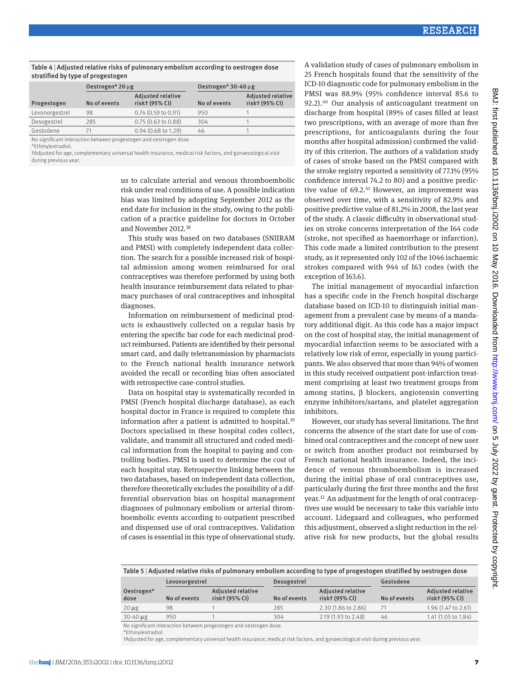### Table 4 | Adjusted relative risks of pulmonary embolism according to oestrogen dose stratified by type of progestogen

|                | Oestrogen* 20 µg |                                                                    | Oestrogen* 30-40 µg |                                            |
|----------------|------------------|--------------------------------------------------------------------|---------------------|--------------------------------------------|
| Progestogen    | No of events     | <b>Adjusted relative</b><br>riskt (95% CI)                         | No of events        | <b>Adjusted relative</b><br>risk† (95% CI) |
| Levonorgestrel | 98               | $0.74$ $(0.59$ to $0.91)$                                          | 950                 |                                            |
| Desogestrel    | 285              | 0.75(0.63 to 0.88)                                                 | 304                 |                                            |
| Gestodene      | 71               | 0.94 (0.68 to 1.29)                                                | 46                  |                                            |
|                |                  | No significant interaction between progestogen and oestrogen dose. |                     |                                            |

\*Ethinylestradiol.

†Adjusted for age, complementary universal health insurance, medical risk factors, and gynaecological visit during previous year.

> us to calculate arterial and venous thromboembolic risk under real conditions of use. A possible indication bias was limited by adopting September 2012 as the end date for inclusion in the study, owing to the publication of a practice guideline for doctors in October and November 2012.38

> This study was based on two databases (SNIIRAM and PMSI) with completely independent data collection. The search for a possible increased risk of hospital admission among women reimbursed for oral contraceptives was therefore performed by using both health insurance reimbursement data related to pharmacy purchases of oral contraceptives and inhospital diagnoses.

> Information on reimbursement of medicinal products is exhaustively collected on a regular basis by entering the specific bar code for each medicinal product reimbursed. Patients are identified by their personal smart card, and daily teletransmission by pharmacists to the French national health insurance network avoided the recall or recording bias often associated with retrospective case-control studies.

> Data on hospital stay is systematically recorded in PMSI (French hospital discharge database), as each hospital doctor in France is required to complete this information after a patient is admitted to hospital.<sup>39</sup> Doctors specialised in these hospital codes collect, validate, and transmit all structured and coded medical information from the hospital to paying and controlling bodies. PMSI is used to determine the cost of each hospital stay. Retrospective linking between the two databases, based on independent data collection, therefore theoretically excludes the possibility of a differential observation bias on hospital management diagnoses of pulmonary embolism or arterial thromboembolic events according to outpatient prescribed and dispensed use of oral contraceptives. Validation of cases is essential in this type of observational study.

A validation study of cases of pulmonary embolism in 25 French hospitals found that the sensitivity of the ICD-10 diagnostic code for pulmonary embolism in the PMSI was 88.9% (95% confidence interval 85.6 to 92.2).40 Our analysis of anticoagulant treatment on discharge from hospital (89% of cases filled at least two prescriptions, with an average of more than five prescriptions, for anticoagulants during the four months after hospital admission) confirmed the validity of this criterion. The authors of a validation study of cases of stroke based on the PMSI compared with the stroke registry reported a sensitivity of 77.1% (95% confidence interval 74.2 to 80) and a positive predictive value of 69.2.<sup>41</sup> However, an improvement was observed over time, with a sensitivity of 82.9% and positive predictive value of 81.2% in 2008, the last year of the study. A classic difficulty in observational studies on stroke concerns interpretation of the I64 code (stroke, not specified as haemorrhage or infarction). This code made a limited contribution to the present study, as it represented only 102 of the 1046 ischaemic strokes compared with 944 of I63 codes (with the exception of I63.6).

The initial management of myocardial infarction has a specific code in the French hospital discharge database based on ICD-10 to distinguish initial management from a prevalent case by means of a mandatory additional digit. As this code has a major impact on the cost of hospital stay, the initial management of myocardial infarction seems to be associated with a relatively low risk of error, especially in young participants. We also observed that more than 94% of women in this study received outpatient post-infarction treatment comprising at least two treatment groups from among statins, β blockers, angiotensin converting enzyme inhibitors/sartans, and platelet aggregation inhibitors.

However, our study has several limitations. The first concerns the absence of the start date for use of combined oral contraceptives and the concept of new user or switch from another product not reimbursed by French national health insurance. Indeed, the incidence of venous thromboembolism is increased during the initial phase of oral contraceptives use, particularly during the first three months and the first year.12 An adjustment for the length of oral contraceptives use would be necessary to take this variable into account. Lidegaard and colleagues, who performed this adjustment, observed a slight reduction in the relative risk for new products, but the global results

|                    |                |                                            |              | Table 5   Adjusted relative risks of pulmonary embolism according to type of progestogen stratified by oestrogen dose |              |                                            |
|--------------------|----------------|--------------------------------------------|--------------|-----------------------------------------------------------------------------------------------------------------------|--------------|--------------------------------------------|
|                    | Levonorgestrel |                                            | Desogestrel  |                                                                                                                       | Gestodene    |                                            |
| Oestrogen*<br>dose | No of events   | <b>Adjusted relative</b><br>risk† (95% CI) | No of events | <b>Adjusted relative</b><br>risk† (95% CI)                                                                            | No of events | <b>Adjusted relative</b><br>risk† (95% CI) |
| $20 \mu g$         | 98             |                                            | 285          | 2.30 (1.86 to 2.86)                                                                                                   | 71           | 1.96 (1.47 to 2.61)                        |
| $30 - 40 \mu g$    | 950            |                                            | 304          | 2.19 (1.93 to 2.48)                                                                                                   | 46           | 1.41 (1.05 to 1.84)                        |

No significant interaction between progestogen and oestrogen dose.

\*Ethinylestradiol.

†Adjusted for age, complementary universal health insurance, medical risk factors, and gynaecological visit during previous year.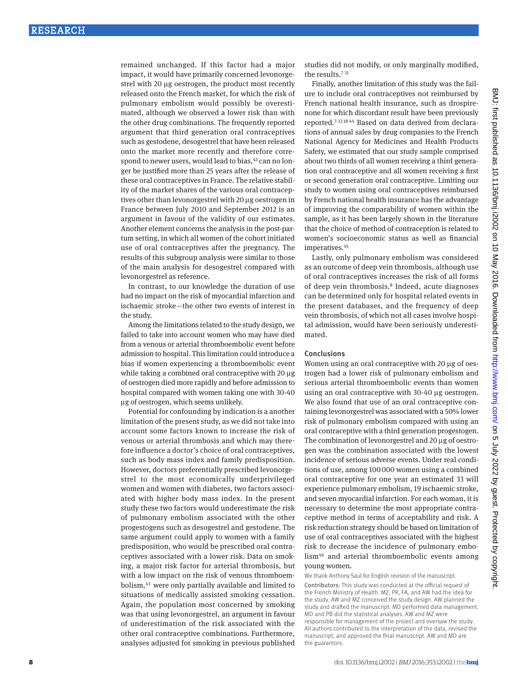remained unchanged. If this factor had a major impact, it would have primarily concerned levonorgestrel with 20 µg oestrogen, the product most recently released onto the French market, for which the risk of pulmonary embolism would possibly be overestimated, although we observed a lower risk than with the other drug combinations. The frequently reported argument that third generation oral contraceptives such as gestodene, desogestrel that have been released onto the market more recently and therefore correspond to newer users, would lead to bias, <sup>42</sup> can no longer be justified more than 25 years after the release of these oral contraceptives in France. The relative stability of the market shares of the various oral contraceptives other than levonorgestrel with 20 µg oestrogen in France between July 2010 and September 2012 is an argument in favour of the validity of our estimates. Another element concerns the analysis in the post-partum setting, in which all women of the cohort initiated use of oral contraceptives after the pregnancy. The results of this subgroup analysis were similar to those of the main analysis for desogestrel compared with levonorgestrel as reference.

In contrast, to our knowledge the duration of use had no impact on the risk of myocardial infarction and ischaemic stroke—the other two events of interest in the study.

Among the limitations related to the study design, we failed to take into account women who may have died from a venous or arterial thromboembolic event before admission to hospital. This limitation could introduce a bias if women experiencing a thromboembolic event while taking a combined oral contraceptive with 20 µg of oestrogen died more rapidly and before admission to hospital compared with women taking one with 30-40 µg of oestrogen, which seems unlikely.

Potential for confounding by indication is a another limitation of the present study, as we did not take into account some factors known to increase the risk of venous or arterial thrombosis and which may therefore influence a doctor's choice of oral contraceptives, such as body mass index and family predisposition. However, doctors preferentially prescribed levonorgestrel to the most economically underprivileged women and women with diabetes, two factors associated with higher body mass index. In the present study these two factors would underestimate the risk of pulmonary embolism associated with the other progestogens such as desogestrel and gestodene. The same argument could apply to women with a family predisposition, who would be prescribed oral contraceptives associated with a lower risk. Data on smoking, a major risk factor for arterial thrombosis, but with a low impact on the risk of venous thromboembolism,43 were only partially available and limited to situations of medically assisted smoking cessation. Again, the population most concerned by smoking was that using levonorgestrel, an argument in favour of underestimation of the risk associated with the other oral contraceptive combinations. Furthermore, analyses adjusted for smoking in previous published studies did not modify, or only marginally modified, the results.7 <sup>31</sup>

Finally, another limitation of this study was the failure to include oral contraceptives not reimbursed by French national health insurance, such as drospirenone for which discordant result have been previously reported.7-12 <sup>18</sup> 44 Based on data derived from declarations of annual sales by drug companies to the French National Agency for Medicines and Health Products Safety, we estimated that our study sample comprised about two thirds of all women receiving a third generation oral contraceptive and all women receiving a first or second generation oral contraceptive. Limiting our study to women using oral contraceptives reimbursed by French national health insurance has the advantage of improving the comparability of women within the sample, as it has been largely shown in the literature that the choice of method of contraception is related to women's socioeconomic status as well as financial imperatives.<sup>45</sup>

Lastly, only pulmonary embolism was considered as an outcome of deep vein thrombosis, although use of oral contraceptives increases the risk of all forms of deep vein thrombosis.8 Indeed, acute diagnoses can be determined only for hospital related events in the present databases, and the frequency of deep vein thrombosis, of which not all cases involve hospital admission, would have been seriously underestimated.

#### Conclusions

Women using an oral contraceptive with 20 µg of oestrogen had a lower risk of pulmonary embolism and serious arterial thromboembolic events than women using an oral contraceptive with 30-40 µg oestrogen. We also found that use of an oral contraceptive containing levonorgestrel was associated with a 50% lower risk of pulmonary embolism compared with using an oral contraceptive with a third generation progestogen. The combination of levonorgestrel and 20 µg of oestrogen was the combination associated with the lowest incidence of serious adverse events. Under real conditions of use, among 100000 women using a combined oral contraceptive for one year an estimated 33 will experience pulmonary embolism, 19 ischaemic stroke, and seven myocardial infarction. For each woman, it is necessary to determine the most appropriate contraceptive method in terms of acceptability and risk. A risk reduction strategy should be based on limitation of use of oral contraceptives associated with the highest risk to decrease the incidence of pulmonary embolism46 and arterial thromboembolic events among young women.

We thank Anthony Saul for English revision of the manuscript.

Contributors: This study was conducted at the official request of the French Ministry of Health. MZ, PR, FA, and AW had the idea for the study. AW and MZ conceived the study design. AW planned the study and drafted the manuscript. MD performed data management. MD and PB did the statistical analyses. AW and MZ were responsible for management of the project and oversaw the study. All authors contributed to the interpretation of the data, revised the manuscript, and approved the final manuscript. AW and MD are the guarantors.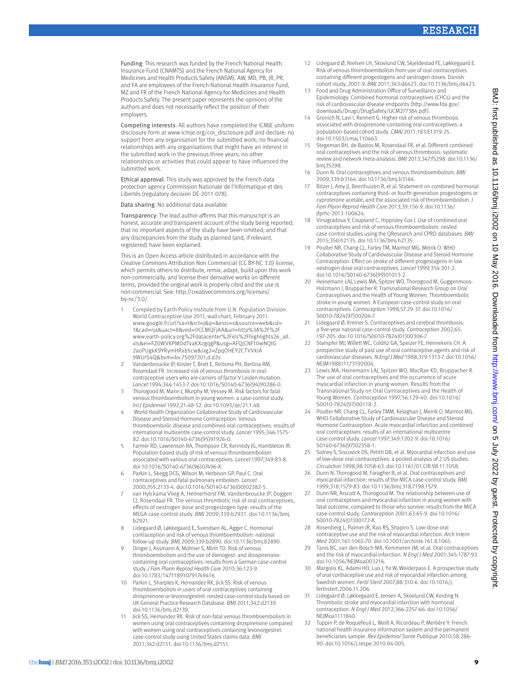Funding: This research was funded by the French National Health Insurance Fund (CNAMTS) and the French National Agency for Medicines and Health Products Safety (ANSM). AW, MD, PB, JR, PR, and FA are employees of the French National Health Insurance Fund, MZ and FR of the French National Agency for Medicines and Health Products Safety. The present paper represents the opinions of the authors and does not necessarily reflect the position of their employers.

Competing interests: All authors have completed the ICMJE uniform disclosure form at www.icmje.org/coi\_disclosure.pdf and declare: no support from any organisation for the submitted work; no financial relationships with any organisations that might have an interest in the submitted work in the previous three years; no other relationships or activities that could appear to have influenced the submitted work.

Ethical approval: This study was approved by the French data protection agency Commission Nationale de l'Informatique et des Libertés (regulatory decision DE-2011-078).

Data sharing: No additional data available.

Transparency: The lead author affirms that this manuscript is an honest, accurate and transparent account of the study being reported; that no important aspects of the study have been omitted; and that any discrepancies from the study as planned (and, if relevant, registered) have been explained.

This is an Open Access article distributed in accordance with the Creative Commons Attribution Non Commercial (CC BY-NC 3.0) license, which permits others to distribute, remix, adapt, build upon this work non-commercially, and license their derivative works on different terms, provided the original work is properly cited and the use is non-commercial. See: http://creativecommons.org/licenses/ by-nc/3.0/.

- Compiled by Earth Policy Institute from U.N. Population Division. World Contraceptive Use 2011, wall chart, February 2011. www.google.fr/url?sa=t&rct=j&q=&esrc=s&source=web&cd= 1&cad=rja&uact=8&ved=0CCMQFjAA&url=http%3A%2F%2F www.earth-policy.org%2Fdatacenter%2Fxls%2Fhighlights26\_all. xls&ei=FZ0WVKPMOdTvaKXzgqgP&usg=AFQjCNF10wNQtG 2aoPUgkK9YRymHRxb5cw&sig2=ZpqOHEY2CTVVkIA 9WUrS4Q&bvm=bv.75097201,d.d2s
- 2 Vandenbroucke JP, Koster T, Briët E, Reitsma PH, Bertina RM, Rosendaal FR. Increased risk of venous thrombosis in oralcontraceptive users who are carriers of factor V Leiden mutation. *Lancet* 1994;344:1453-7. doi:10.1016/S0140-6736(94)90286-0.
- 3 Thorogood M, Mann J, Murphy M, Vessey M. Risk factors for fatal venous thromboembolism in young women: a case-control study. *Int J Epidemiol* 1992;21:48-52. doi:10.1093/ije/21.1.48.
- 4 World Health Organization Collaborative Study of Cardiovascular Disease and Steroid Hormone Contraception. Venous thromboembolic disease and combined oral contraceptives: results of international multicentre case-control study. *Lancet* 1995;346:1575- 82. doi:10.1016/S0140-6736(95)91926-0.
- 5 Farmer RD, Lawrenson RA, Thompson CR, Kennedy JG, Hambleton IR. Population-based study of risk of venous thromboembolism associated with various oral contraceptives. *Lancet* 1997;349:83-8. doi:10.1016/S0140-6736(96)07496-X.
- Parkin L, Skegg DCG, Wilson M, Herbison GP, Paul C. Oral contraceptives and fatal pulmonary embolism. *Lancet* 2000;355:2133-4. doi:10.1016/S0140-6736(00)02382-5.
- 7 van Hylckama Vlieg A, Helmerhorst FM, Vandenbroucke JP, Doggen CJ, Rosendaal FR. The venous thrombotic risk of oral contraceptives, effects of oestrogen dose and progestogen type: results of the MEGA case-control study. *BMJ* 2009;339:b2921. doi:10.1136/bmj. b2921.
- 8 Lidegaard Ø, Løkkegaard E, Svendsen AL, Agger C. Hormonal contraception and risk of venous thromboembolism: national follow-up study. *BMJ* 2009;339:b2890. doi:10.1136/bmj.b2890.
- Dinger J, Assmann A, Möhner S, Minh TD. Risk of venous thromboembolism and the use of dienogest- and drospirenonecontaining oral contraceptives: results from a German case-control study. *J Fam Plann Reprod Health Care* 2010;36:123-9. doi:10.1783/147118910791749416.
- Parkin L, Sharples K, Hernandez RK, Jick SS. Risk of venous thromboembolism in users of oral contraceptives containing drospirenone or levonorgestrel: nested case-control study based on UK General Practice Research Database. *BMJ* 2011;342:d2139. doi:10.1136/bmj.d2139.
- 11 Jick SS, Hernandez RK. Risk of non-fatal venous thromboembolism in women using oral contraceptives containing drospirenone compared with women using oral contraceptives containing levonorgestrel: case-control study using United States claims data. *BMJ* 2011;342:d2151. doi:10.1136/bmj.d2151.
- 12 Lidegaard Ø, Nielsen LH, Skovlund CW, Skjeldestad FE, Løkkegaard E. Risk of venous thromboembolism from use of oral contraceptives containing different progestogens and oestrogen doses: Danish cohort study, 2001-9. *BMJ* 2011;343:d6423. doi:10.1136/bmj.d6423.
- 13 Food and Drug Administration Office of Surveillance and Epidemiology. Combined hormonal contraceptives (CHCs) and the risk of cardiovascular disease endpoints (http://www.fda.gov/ downloads/Drugs/DrugSafety/UCM277384.pdf).
- 14 Gronich N, Lavi I, Rennert G. Higher risk of venous thrombosis associated with drospirenone-containing oral contraceptives: a population-based cohort study. *CMAJ* 2011;183:E1319-25. doi:10.1503/cmaj.110463.
- 15 Stegeman BH, de Bastos M, Rosendaal FR, et al. Different combined oral contraceptives and the risk of venous thrombosis: systematic review and network meta-analysis. *BMJ* 2013;347:f5298. doi:10.1136/ bmj.f5298.
- 16 Dunn N. Oral contraceptives and venous thromboembolism. *BMJ* 2009;339:b3164. doi:10.1136/bmj.b3164.
- 17 Bitzer J, Amy JJ, Beerthuizen R, et al. Statement on combined hormonal contraceptives containing third- or fourth-generation progestogens or cyproterone acetate, and the associated risk of thromboembolism. *J Fam Plann Reprod Health Care* 2013;39:156-9. doi:10.1136/ jfprhc-2013-100624.
- 18 Vinogradova Y, Coupland C, Hippisley-Cox J. Use of combined oral contraceptives and risk of venous thromboembolism: nested case-control studies using the QResearch and CPRD databases. *BMJ* 2015;350:h2135. doi:10.1136/bmj.h2135.
- 19 Poulter NR, Chang CL, Farley TM, Marmot MG, Meirik O. WHO Collaborative Study of Cardiovascular Disease and Steroid Hormone Contraception. Effect on stroke of different progestagens in low oestrogen dose oral contraceptives. *Lancet* 1999;354:301-2. doi:10.1016/S0140-6736(99)01013-2.
- 20 Heinemann LAJ, Lewis MA, Spitzer WO, Thorogood M, Guggenmoos-Holzmann I, Bruppacher R. Transnational Research Group on Oral Contraceptives and the Health of Young Women. Thromboembolic stroke in young women. A European case-control study on oral contraceptives. *Contraception* 1998;57:29-37. doi:10.1016/ S0010-7824(97)00204-7.
- Lidegaard Ø, Kreiner S. Contraceptives and cerebral thrombosis: a five-year national case-control study. *Contraception* 2002;65: 197-205. doi:10.1016/S0010-7824(01)00306-7.
- Stampfer MJ, Willett WC, Colditz GA, Speizer FE, Hennekens CH. A prospective study of past use of oral contraceptive agents and risk of cardiovascular diseases. *N Engl J Med* 1988;319:1313-7. doi:10.1056/ NEJM198811173192004.
- 23 Lewis MA, Heinemann LAJ, Spitzer WO, MacRae KD, Bruppacher R. The use of oral contraceptives and the occurrence of acute myocardial infarction in young women. Results from the Transnational Study on Oral Contraceptives and the Health of Young Women. *Contraception* 1997;56:129-40. doi:10.1016/ S0010-7824(97)00118-2.
- 24 Poulter NR, Chang CL, Farley TMM, Kelaghan J, Meirik O, Marmot MG. WHO Collaborative Study of Cardiovascular Disease and Steroid Hormone Contraception. Acute myocardial infarction and combined oral contraceptives: results of an international multicentre case-control study. *Lancet* 1997;349:1202-9. doi:10.1016/ S0140-6736(97)02358-1.
- 25 Sidney S, Siscovick DS, Petitti DB, et al. Myocardial infarction and use of low-dose oral contraceptives: a pooled analysis of 2 US studies. *Circulation* 1998;98:1058-63. doi:10.1161/01.CIR.98.11.1058.
- 26 Dunn N, Thorogood M, Faragher B, et al. Oral contraceptives and myocardial infarction: results of the MICA case-control study. *BMJ* 1999;318:1579-83. doi:10.1136/bmj.318.7198.1579.
- 27 Dunn NR, Arscott A, Thorogood M. The relationship between use of oral contraceptives and myocardial infarction in young women with fatal outcome, compared to those who survive: results from the MICA case-control study. *Contraception* 2001;63:65-9. doi:10.1016/ S0010-7824(01)00172-X.
- 28 Rosenberg L, Palmer JR, Rao RS, Shapiro S. Low-dose oral contraceptive use and the risk of myocardial infarction. *Arch Intern Med* 2001;161:1065-70. doi:10.1001/archinte.161.8.1065.
- 29 Tanis BC, van den Bosch MA, Kemmeren JM, et al. Oral contraceptives and the risk of myocardial infarction. *N Engl J Med* 2001;345:1787-93. doi:10.1056/NEJMoa003216.
- 30 Margolis KL, Adami HO, Luo J, Ye W, Weiderpass E. A prospective study of oral contraceptive use and risk of myocardial infarction among Swedish women. *Fertil Steril* 2007;88:310-6. doi:10.1016/j. fertnstert.2006.11.206.
- 31 Lidegaard Ø, Løkkegaard E, Jensen A, Skovlund CW, Keiding N. Thrombotic stroke and myocardial infarction with hormonal contraception. *N Engl J Med* 2012;366:2257-66. doi:10.1056/ NEJMoa1111840.
- 32 Tuppin P, de Roquefeuil L, Weill A, Ricordeau P, Merlière Y. French national health insurance information system and the permanent beneficiaries sample. *Rev Epidemiol Sante Publique* 2010;58:286- 90. doi:10.1016/j.respe.2010.04.005.